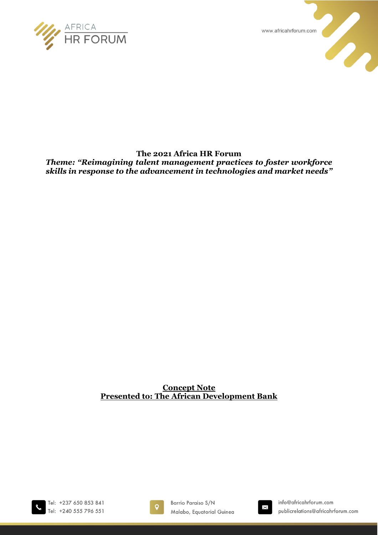

www.africahrforum.com

U.



*Theme: "Reimagining talent management practices to foster workforce skills in response to the advancement in technologies and market needs"*

## **Concept Note Presented to: The African Development Bank**

Tel: +237 650 853 841 Tel: +240 555 796 551



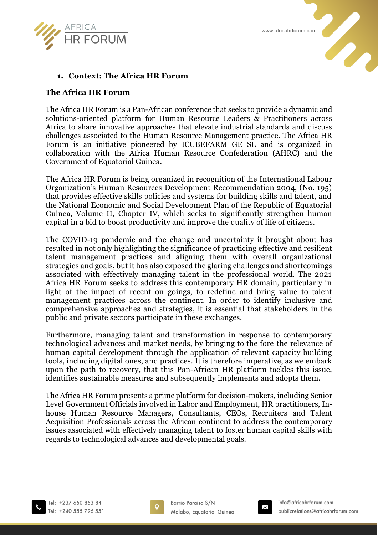



## **1. Context: The Africa HR Forum**

#### **The Africa HR Forum**

The Africa HR Forum is a Pan-African conference that seeks to provide a dynamic and solutions-oriented platform for Human Resource Leaders & Practitioners across Africa to share innovative approaches that elevate industrial standards and discuss challenges associated to the Human Resource Management practice. The Africa HR Forum is an initiative pioneered by ICUBEFARM GE SL and is organized in collaboration with the Africa Human Resource Confederation (AHRC) and the Government of Equatorial Guinea.

The Africa HR Forum is being organized in recognition of the International Labour Organization's Human Resources Development Recommendation 2004, (No. 195) that provides effective skills policies and systems for building skills and talent, and the National Economic and Social Development Plan of the Republic of Equatorial Guinea, Volume II, Chapter IV, which seeks to significantly strengthen human capital in a bid to boost productivity and improve the quality of life of citizens.

The COVID-19 pandemic and the change and uncertainty it brought about has resulted in not only highlighting the significance of practicing effective and resilient talent management practices and aligning them with overall organizational strategies and goals, but it has also exposed the glaring challenges and shortcomings associated with effectively managing talent in the professional world. The 2021 Africa HR Forum seeks to address this contemporary HR domain, particularly in light of the impact of recent on goings, to redefine and bring value to talent management practices across the continent. In order to identify inclusive and comprehensive approaches and strategies, it is essential that stakeholders in the public and private sectors participate in these exchanges.

Furthermore, managing talent and transformation in response to contemporary technological advances and market needs, by bringing to the fore the relevance of human capital development through the application of relevant capacity building tools, including digital ones, and practices. It is therefore imperative, as we embark upon the path to recovery, that this Pan-African HR platform tackles this issue, identifies sustainable measures and subsequently implements and adopts them.

The Africa HR Forum presents a prime platform for decision-makers, including Senior Level Government Officials involved in Labor and Employment, HR practitioners, Inhouse Human Resource Managers, Consultants, CEOs, Recruiters and Talent Acquisition Professionals across the African continent to address the contemporary issues associated with effectively managing talent to foster human capital skills with regards to technological advances and developmental goals.



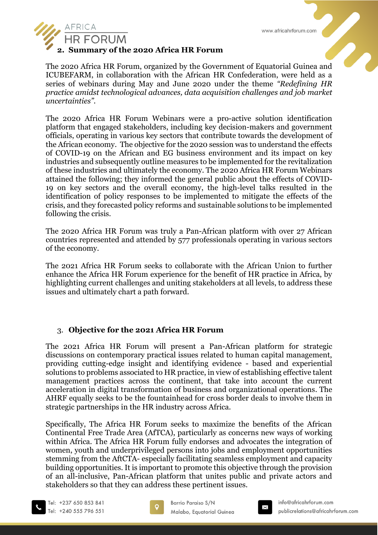



#### **2. Summary of the 2020 Africa HR Forum**

The 2020 Africa HR Forum, organized by the Government of Equatorial Guinea and ICUBEFARM, in collaboration with the African HR Confederation, were held as a series of webinars during May and June 2020 under the theme *"Redefining HR practice amidst technological advances, data acquisition challenges and job market uncertainties".* 

The 2020 Africa HR Forum Webinars were a pro-active solution identification platform that engaged stakeholders, including key decision-makers and government officials, operating in various key sectors that contribute towards the development of the African economy. The objective for the 2020 session was to understand the effects of COVID-19 on the African and EG business environment and its impact on key industries and subsequently outline measures to be implemented for the revitalization of these industries and ultimately the economy. The 2020 Africa HR Forum Webinars attained the following; they informed the general public about the effects of COVID-19 on key sectors and the overall economy, the high-level talks resulted in the identification of policy responses to be implemented to mitigate the effects of the crisis, and they forecasted policy reforms and sustainable solutions to be implemented following the crisis.

The 2020 Africa HR Forum was truly a Pan-African platform with over 27 African countries represented and attended by 577 professionals operating in various sectors of the economy.

The 2021 Africa HR Forum seeks to collaborate with the African Union to further enhance the Africa HR Forum experience for the benefit of HR practice in Africa, by highlighting current challenges and uniting stakeholders at all levels, to address these issues and ultimately chart a path forward.

### 3. **Objective for the 2021 Africa HR Forum**

The 2021 Africa HR Forum will present a Pan-African platform for strategic discussions on contemporary practical issues related to human capital management, providing cutting-edge insight and identifying evidence - based and experiential solutions to problems associated to HR practice, in view of establishing effective talent management practices across the continent, that take into account the current acceleration in digital transformation of business and organizational operations. The AHRF equally seeks to be the fountainhead for cross border deals to involve them in strategic partnerships in the HR industry across Africa.

Specifically, The Africa HR Forum seeks to maximize the benefits of the African Continental Free Trade Area (AfTCA), particularly as concerns new ways of working within Africa. The Africa HR Forum fully endorses and advocates the integration of women, youth and underprivileged persons into jobs and employment opportunities stemming from the AftCTA- especially facilitating seamless employment and capacity building opportunities. It is important to promote this objective through the provision of an all-inclusive, Pan-African platform that unites public and private actors and stakeholders so that they can address these pertinent issues.



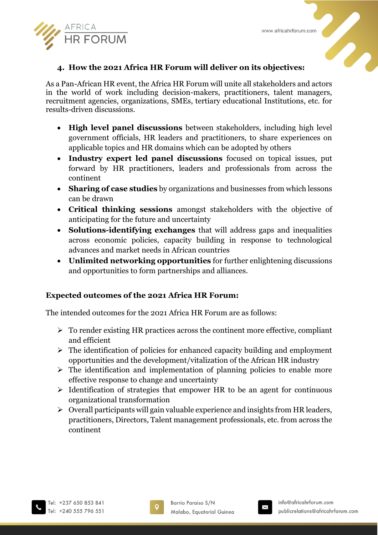



# **4. How the 2021 Africa HR Forum will deliver on its objectives:**

As a Pan-African HR event, the Africa HR Forum will unite all stakeholders and actors in the world of work including decision-makers, practitioners, talent managers, recruitment agencies, organizations, SMEs, tertiary educational Institutions, etc. for results-driven discussions.

- **High level panel discussions** between stakeholders, including high level government officials, HR leaders and practitioners, to share experiences on applicable topics and HR domains which can be adopted by others
- **Industry expert led panel discussions** focused on topical issues, put forward by HR practitioners, leaders and professionals from across the continent
- **Sharing of case studies** by organizations and businesses from which lessons can be drawn
- **Critical thinking sessions** amongst stakeholders with the objective of anticipating for the future and uncertainty
- **Solutions-identifying exchanges** that will address gaps and inequalities across economic policies, capacity building in response to technological advances and market needs in African countries
- **Unlimited networking opportunities** for further enlightening discussions and opportunities to form partnerships and alliances.

### **Expected outcomes of the 2021 Africa HR Forum:**

The intended outcomes for the 2021 Africa HR Forum are as follows:

- $\triangleright$  To render existing HR practices across the continent more effective, compliant and efficient
- $\triangleright$  The identification of policies for enhanced capacity building and employment opportunities and the development/vitalization of the African HR industry
- $\triangleright$  The identification and implementation of planning policies to enable more effective response to change and uncertainty
- $\triangleright$  Identification of strategies that empower HR to be an agent for continuous organizational transformation
- $\triangleright$  Overall participants will gain valuable experience and insights from HR leaders, practitioners, Directors, Talent management professionals, etc. from across the continent



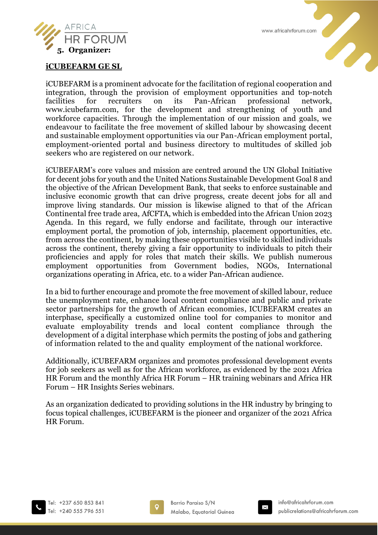



#### **iCUBEFARM GE SL**

iCUBEFARM is a prominent advocate for the facilitation of regional cooperation and integration, through the provision of employment opportunities and top-notch facilities for recruiters on its Pan-African professional network, www.icubefarm.com, for the development and strengthening of youth and workforce capacities. Through the implementation of our mission and goals, we endeavour to facilitate the free movement of skilled labour by showcasing decent and sustainable employment opportunities via our Pan-African employment portal, employment-oriented portal and business directory to multitudes of skilled job seekers who are registered on our network.

iCUBEFARM's core values and mission are centred around the UN Global Initiative for decent jobs for youth and the United Nations Sustainable Development Goal 8 and the objective of the African Development Bank, that seeks to enforce sustainable and inclusive economic growth that can drive progress, create decent jobs for all and improve living standards. Our mission is likewise aligned to that of the African Continental free trade area, AfCFTA, which is embedded into the African Union 2023 Agenda. In this regard, we fully endorse and facilitate, through our interactive employment portal, the promotion of job, internship, placement opportunities, etc. from across the continent, by making these opportunities visible to skilled individuals across the continent, thereby giving a fair opportunity to individuals to pitch their proficiencies and apply for roles that match their skills. We publish numerous employment opportunities from Government bodies, NGOs, International organizations operating in Africa, etc. to a wider Pan-African audience.

In a bid to further encourage and promote the free movement of skilled labour, reduce the unemployment rate, enhance local content compliance and public and private sector partnerships for the growth of African economies, ICUBEFARM creates an interphase, specifically a customized online tool for companies to monitor and evaluate employability trends and local content compliance through the development of a digital interphase which permits the posting of jobs and gathering of information related to the and quality employment of the national workforce.

Additionally, iCUBEFARM organizes and promotes professional development events for job seekers as well as for the African workforce, as evidenced by the 2021 Africa HR Forum and the monthly Africa HR Forum – HR training webinars and Africa HR Forum – HR Insights Series webinars.

As an organization dedicated to providing solutions in the HR industry by bringing to focus topical challenges, iCUBEFARM is the pioneer and organizer of the 2021 Africa HR Forum.